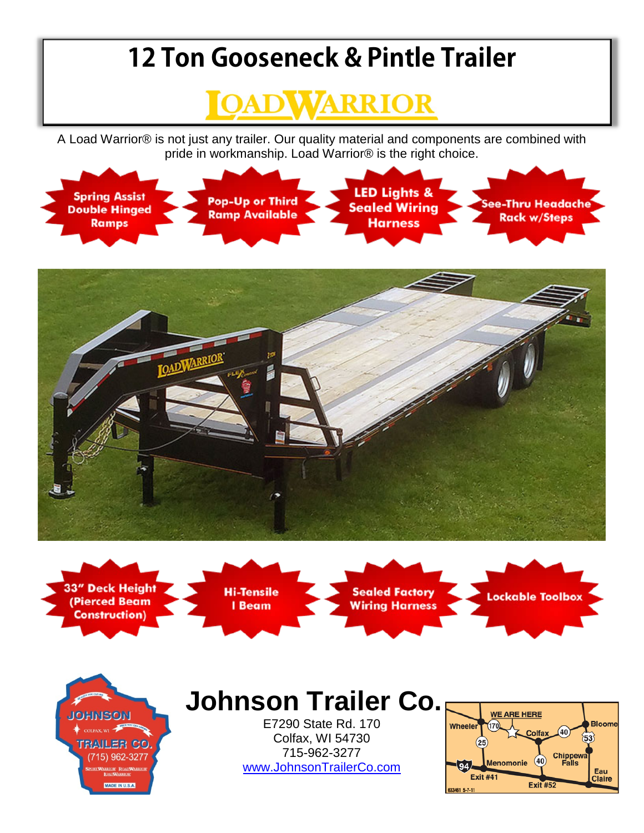## **12 Ton Gooseneck & Pintle Trailer**



A Load Warrior® is not just any trailer. Our quality material and components are combined with pride in workmanship. Load Warrior® is the right choice.





**33" Deck Height** (Pierced Beam **Construction)** 

**JOHNSON** 

 $\mathbf{w}$ 

**TRAILER CO** 

(715) 962-3277

MADE IN U.S.A.



**Sealed Factory Wiring Harness**  **Lockable Toolbox** 

## **Johnson Trailer Co.**

E7290 State Rd. 170 Colfax, WI 54730 715-962-3277 [www.JohnsonTrailerCo.com](http://www.johnsontrailerco.com/)